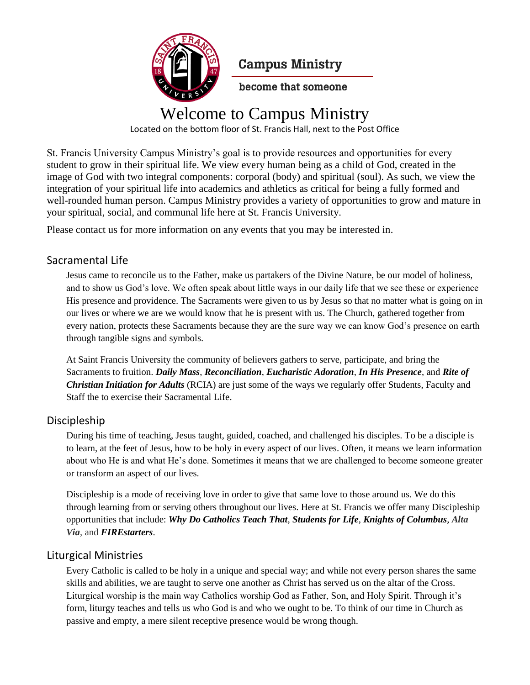

**Campus Ministry** 

become that someone

## Welcome to Campus Ministry

Located on the bottom floor of St. Francis Hall, next to the Post Office

St. Francis University Campus Ministry's goal is to provide resources and opportunities for every student to grow in their spiritual life. We view every human being as a child of God, created in the image of God with two integral components: corporal (body) and spiritual (soul). As such, we view the integration of your spiritual life into academics and athletics as critical for being a fully formed and well-rounded human person. Campus Ministry provides a variety of opportunities to grow and mature in your spiritual, social, and communal life here at St. Francis University.

Please contact us for more information on any events that you may be interested in.

## Sacramental Life

Jesus came to reconcile us to the Father, make us partakers of the Divine Nature, be our model of holiness, and to show us God's love. We often speak about little ways in our daily life that we see these or experience His presence and providence. The Sacraments were given to us by Jesus so that no matter what is going on in our lives or where we are we would know that he is present with us. The Church, gathered together from every nation, protects these Sacraments because they are the sure way we can know God's presence on earth through tangible signs and symbols.

At Saint Francis University the community of believers gathers to serve, participate, and bring the Sacraments to fruition. *Daily Mass*, *Reconciliation*, *Eucharistic Adoration*, *In His Presence*, and *Rite of Christian Initiation for Adults* (RCIA) are just some of the ways we regularly offer Students, Faculty and Staff the to exercise their Sacramental Life.

## Discipleship

During his time of teaching, Jesus taught, guided, coached, and challenged his disciples. To be a disciple is to learn, at the feet of Jesus, how to be holy in every aspect of our lives. Often, it means we learn information about who He is and what He's done. Sometimes it means that we are challenged to become someone greater or transform an aspect of our lives.

Discipleship is a mode of receiving love in order to give that same love to those around us. We do this through learning from or serving others throughout our lives. Here at St. Francis we offer many Discipleship opportunities that include: *Why Do Catholics Teach That*, *Students for Life*, *Knights of Columbus*, *Alta Via*, and *FIREstarters*.

## Liturgical Ministries

Every Catholic is called to be holy in a unique and special way; and while not every person shares the same skills and abilities, we are taught to serve one another as Christ has served us on the altar of the Cross. Liturgical worship is the main way Catholics worship God as Father, Son, and Holy Spirit. Through it's form, liturgy teaches and tells us who God is and who we ought to be. To think of our time in Church as passive and empty, a mere silent receptive presence would be wrong though.